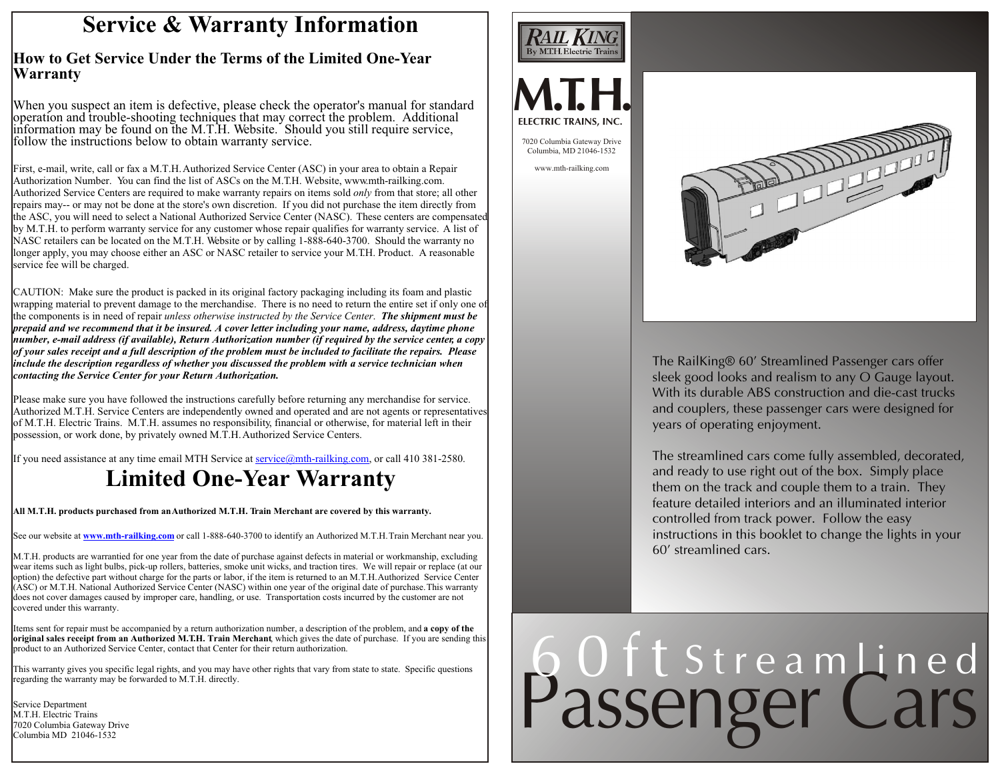### **Service & Warranty Information**

#### **How to Get Service Under the Terms of the Limited One-Year Warranty**

When you suspect an item is defective, please check the operator's manual for standard operation and trouble-shooting techniques that may correct the problem. Additional information may be found on the M.T.H. Website. Should you still require service, follow the instructions below to obtain warranty service.

First, e-mail, write, call or fax a M.T.H. Authorized Service Center (ASC) in your area to obtain a Repair Authorization Number. You can find the list of ASCs on the M.T.H. Website, www.mth-railking.com. Authorized Service Centers are required to make warranty repairs on items sold *only* from that store; all other repairs may-- or may not be done at the store's own discretion. If you did not purchase the item directly from the ASC, you will need to select a National Authorized Service Center (NASC). These centers are compensated by M.T.H. to perform warranty service for any customer whose repair qualifies for warranty service. A list of NASC retailers can be located on the M.T.H. Website or by calling 1-888-640-3700. Should the warranty no longer apply, you may choose either an ASC or NASC retailer to service your M.T.H. Product. A reasonable service fee will be charged.

CAUTION: Make sure the product is packed in its original factory packaging including its foam and plastic wrapping material to prevent damage to the merchandise. There is no need to return the entire set if only one of the components is in need of repair *unless otherwise instructed by the Service Center*. *The shipment must be prepaid and we recommend that it be insured. A cover letter including your name, address, daytime phone number, e-mail address (if available), Return Authorization number (if required by the service center, a copy of your sales receipt and a full description of the problem must be included to facilitate the repairs. Please include the description regardless of whether you discussed the problem with a service technician when contacting the Service Center for your Return Authorization.*

Please make sure you have followed the instructions carefully before returning any merchandise for service. Authorized M.T.H. Service Centers are independently owned and operated and are not agents or representatives of M.T.H. Electric Trains. M.T.H. assumes no responsibility, financial or otherwise, for material left in their possession, or work done, by privately owned M.T.H. Authorized Service Centers.

If you need assistance at any time email MTH Service at service@mth-railking.com, or call 410 381-2580.

## **Limited One-Year Warranty**

**All M.T.H. products purchased from an Authorized M.T.H. Train Merchant are covered by this warranty.**

See our website at **www.mth-railking.com** or call 1-888-640-3700 to identify an Authorized M.T.H. Train Merchant near you.

M.T.H. products are warrantied for one year from the date of purchase against defects in material or workmanship, excluding wear items such as light bulbs, pick-up rollers, batteries, smoke unit wicks, and traction tires. We will repair or replace (at our option) the defective part without charge for the parts or labor, if the item is returned to an M.T.H. Authorized Service Center (ASC) or M.T.H. National Authorized Service Center (NASC) within one year of the original date of purchase. This warranty does not cover damages caused by improper care, handling, or use. Transportation costs incurred by the customer are not covered under this warranty.

Items sent for repair must be accompanied by a return authorization number, a description of the problem, and **a copy of the original sales receipt from an Authorized M.T.H. Train Merchant**, which gives the date of purchase. If you are sending this product to an Authorized Service Center, contact that Center for their return authorization.

This warranty gives you specific legal rights, and you may have other rights that vary from state to state. Specific questions regarding the warranty may be forwarded to M.T.H. directly.

Service Department M.T.H. Electric Trains 7020 Columbia Gateway Drive Columbia MD 21046-1532





The RailKing® 60' Streamlined Passenger cars offer sleek good looks and realism to any O Gauge layout. With its durable ABS construction and die-cast trucks and couplers, these passenger cars were designed for years of operating enjoyment.

The streamlined cars come fully assembled, decorated, and ready to use right out of the box. Simply place them on the track and couple them to a train. They feature detailed interiors and an illuminated interior controlled from track power. Follow the easy instructions in this booklet to change the lights in your 60' streamlined cars.

# Passenger Cars 60ft Streamlined